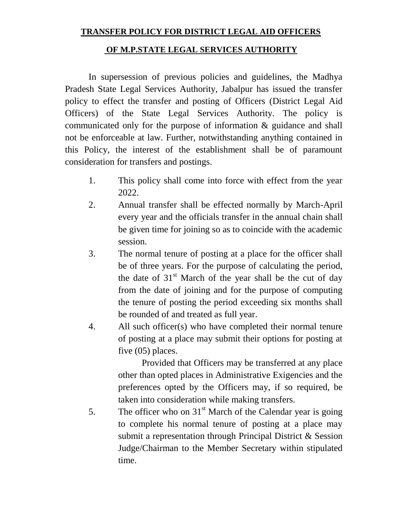## **TRANSFER POLICY FOR DISTRICT LEGAL AID OFFICERS**

## **OF M.P.STATE LEGAL SERVICES AUTHORITY**

In supersession of previous policies and guidelines, the Madhya Pradesh State Legal Services Authority, Jabalpur has issued the transfer policy to effect the transfer and posting of Officers (District Legal Aid Officers) of the State Legal Services Authority. The policy is communicated only for the purpose of information & guidance and shall not be enforceable at law. Further, notwithstanding anything contained in this Policy, the interest of the establishment shall be of paramount consideration for transfers and postings.

- 1. This policy shall come into force with effect from the year 2022.
- 2. Annual transfer shall be effected normally by March-April every year and the officials transfer in the annual chain shall be given time for joining so as to coincide with the academic session.
- 3. The normal tenure of posting at a place for the officer shall be of three years. For the purpose of calculating the period, the date of 31<sup>st</sup> March of the year shall be the cut of day from the date of joining and for the purpose of computing the tenure of posting the period exceeding six months shall be rounded of and treated as full year.
- 4. All such officer(s) who have completed their normal tenure of posting at a place may submit their options for posting at five (05) places.

Provided that Officers may be transferred at any place other than opted places in Administrative Exigencies and the preferences opted by the Officers may, if so required, be taken into consideration while making transfers.

5. The officer who on  $31<sup>st</sup>$  March of the Calendar year is going to complete his normal tenure of posting at a place may submit a representation through Principal District & Session Judge/Chairman to the Member Secretary within stipulated time.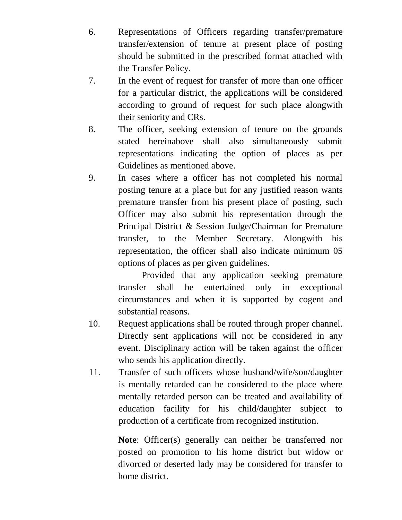- 6. Representations of Officers regarding transfer/premature transfer/extension of tenure at present place of posting should be submitted in the prescribed format attached with the Transfer Policy.
- 7. In the event of request for transfer of more than one officer for a particular district, the applications will be considered according to ground of request for such place alongwith their seniority and CRs.
- 8. The officer, seeking extension of tenure on the grounds stated hereinabove shall also simultaneously submit representations indicating the option of places as per Guidelines as mentioned above.
- 9. In cases where a officer has not completed his normal posting tenure at a place but for any justified reason wants premature transfer from his present place of posting, such Officer may also submit his representation through the Principal District & Session Judge/Chairman for Premature transfer, to the Member Secretary. Alongwith his representation, the officer shall also indicate minimum 05 options of places as per given guidelines.

Provided that any application seeking premature transfer shall be entertained only in exceptional circumstances and when it is supported by cogent and substantial reasons.

- 10. Request applications shall be routed through proper channel. Directly sent applications will not be considered in any event. Disciplinary action will be taken against the officer who sends his application directly.
- 11. Transfer of such officers whose husband/wife/son/daughter is mentally retarded can be considered to the place where mentally retarded person can be treated and availability of education facility for his child/daughter subject to production of a certificate from recognized institution.

**Note**: Officer(s) generally can neither be transferred nor posted on promotion to his home district but widow or divorced or deserted lady may be considered for transfer to home district.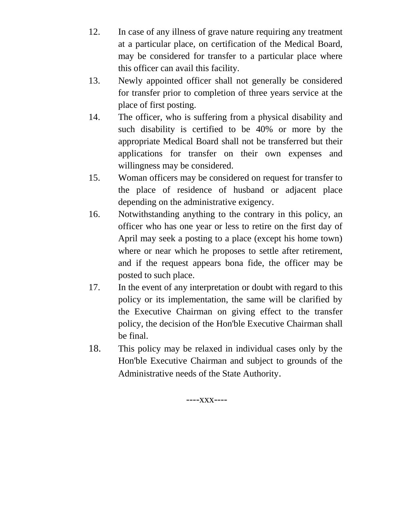- 12. In case of any illness of grave nature requiring any treatment at a particular place, on certification of the Medical Board, may be considered for transfer to a particular place where this officer can avail this facility.
- 13. Newly appointed officer shall not generally be considered for transfer prior to completion of three years service at the place of first posting.
- 14. The officer, who is suffering from a physical disability and such disability is certified to be 40% or more by the appropriate Medical Board shall not be transferred but their applications for transfer on their own expenses and willingness may be considered.
- 15. Woman officers may be considered on request for transfer to the place of residence of husband or adjacent place depending on the administrative exigency.
- 16. Notwithstanding anything to the contrary in this policy, an officer who has one year or less to retire on the first day of April may seek a posting to a place (except his home town) where or near which he proposes to settle after retirement, and if the request appears bona fide, the officer may be posted to such place.
- 17. In the event of any interpretation or doubt with regard to this policy or its implementation, the same will be clarified by the Executive Chairman on giving effect to the transfer policy, the decision of the Hon'ble Executive Chairman shall be final.
- 18. This policy may be relaxed in individual cases only by the Hon'ble Executive Chairman and subject to grounds of the Administrative needs of the State Authority.

----xxx----